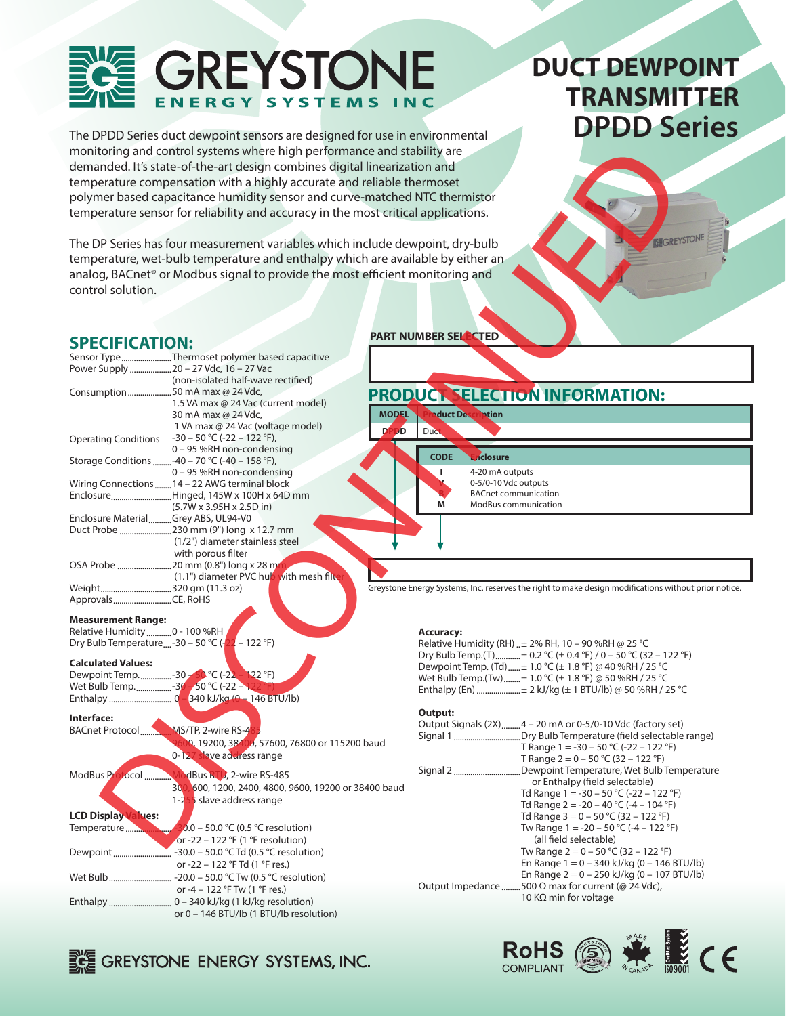## GREYSTON **SYSTEMS** ENERGY

The DPDD Series duct dewpoint sensors are designed for use in environmental monitoring and control systems where high performance and stability are demanded. It's state-of-the-art design combines digital linearization and temperature compensation with a highly accurate and reliable thermoset polymer based capacitance humidity sensor and curve-matched NTC thermistor temperature sensor for reliability and accuracy in the most critical applications.

# **DUCT DEWPOINT TRANSMITTER**

**THE CE** 

 $ROHS \n\circledS$ 

**COMPLIANT** 

### **SPECIFICATION:**

| control solution.                   | monitoring and control systems where high performance and stability are<br>demanded. It's state-of-the-art design combines digital linearization and<br>temperature compensation with a highly accurate and reliable thermoset<br>polymer based capacitance humidity sensor and curve-matched NTC thermistor<br>temperature sensor for reliability and accuracy in the most critical applications.<br>The DP Series has four measurement variables which include dewpoint, dry-bulb<br>temperature, wet-bulb temperature and enthalpy which are available by either an<br>analog, BACnet <sup>®</sup> or Modbus signal to provide the most efficient monitoring and | <b>EGREYSTON</b>                                                                                                        |
|-------------------------------------|---------------------------------------------------------------------------------------------------------------------------------------------------------------------------------------------------------------------------------------------------------------------------------------------------------------------------------------------------------------------------------------------------------------------------------------------------------------------------------------------------------------------------------------------------------------------------------------------------------------------------------------------------------------------|-------------------------------------------------------------------------------------------------------------------------|
|                                     |                                                                                                                                                                                                                                                                                                                                                                                                                                                                                                                                                                                                                                                                     |                                                                                                                         |
|                                     |                                                                                                                                                                                                                                                                                                                                                                                                                                                                                                                                                                                                                                                                     | <b>PART NUMBER SELLECTED</b>                                                                                            |
| <b>SPECIFICATION:</b>               |                                                                                                                                                                                                                                                                                                                                                                                                                                                                                                                                                                                                                                                                     |                                                                                                                         |
|                                     | Sensor Type Thermoset polymer based capacitive                                                                                                                                                                                                                                                                                                                                                                                                                                                                                                                                                                                                                      |                                                                                                                         |
|                                     | Power Supply  20 - 27 Vdc, 16 - 27 Vac<br>(non-isolated half-wave rectified)                                                                                                                                                                                                                                                                                                                                                                                                                                                                                                                                                                                        |                                                                                                                         |
| Consumption 50 mA max @ 24 Vdc,     |                                                                                                                                                                                                                                                                                                                                                                                                                                                                                                                                                                                                                                                                     | PRODUCT SELECTION INFORMATION:                                                                                          |
|                                     | 1.5 VA max @ 24 Vac (current model)                                                                                                                                                                                                                                                                                                                                                                                                                                                                                                                                                                                                                                 |                                                                                                                         |
|                                     | <b>MODEL</b><br>30 mA max @ 24 Vdc,                                                                                                                                                                                                                                                                                                                                                                                                                                                                                                                                                                                                                                 | duct Description                                                                                                        |
|                                     | 1 VA max @ 24 Vac (voltage model)<br><b>DPDD</b>                                                                                                                                                                                                                                                                                                                                                                                                                                                                                                                                                                                                                    | Duct                                                                                                                    |
| <b>Operating Conditions</b>         | $-30 - 50$ °C (-22 - 122 °F),<br>0 - 95 %RH non-condensing                                                                                                                                                                                                                                                                                                                                                                                                                                                                                                                                                                                                          |                                                                                                                         |
|                                     | Storage Conditions  - 40 - 70 °C (-40 - 158 °F),                                                                                                                                                                                                                                                                                                                                                                                                                                                                                                                                                                                                                    | <b>CODE</b><br>nclosure                                                                                                 |
|                                     | 0 - 95 %RH non-condensing                                                                                                                                                                                                                                                                                                                                                                                                                                                                                                                                                                                                                                           | 4-20 mA outputs<br>п                                                                                                    |
|                                     | Wiring Connections14 - 22 AWG terminal block                                                                                                                                                                                                                                                                                                                                                                                                                                                                                                                                                                                                                        | 0-5/0-10 Vdc outputs                                                                                                    |
|                                     | EnclosureHinged, 145W x 100H x 64D mm                                                                                                                                                                                                                                                                                                                                                                                                                                                                                                                                                                                                                               | <b>BACnet communication</b><br>M<br>ModBus communication                                                                |
| Enclosure MaterialGrey ABS, UL94-V0 | $(5.7W \times 3.95H \times 2.5D \text{ in})$                                                                                                                                                                                                                                                                                                                                                                                                                                                                                                                                                                                                                        |                                                                                                                         |
|                                     | Duct Probe 230 mm (9") long x 12.7 mm                                                                                                                                                                                                                                                                                                                                                                                                                                                                                                                                                                                                                               |                                                                                                                         |
|                                     | (1/2") diameter stainless steel                                                                                                                                                                                                                                                                                                                                                                                                                                                                                                                                                                                                                                     |                                                                                                                         |
|                                     | with porous filter                                                                                                                                                                                                                                                                                                                                                                                                                                                                                                                                                                                                                                                  |                                                                                                                         |
|                                     |                                                                                                                                                                                                                                                                                                                                                                                                                                                                                                                                                                                                                                                                     |                                                                                                                         |
|                                     | (1.1") diameter PVC hub with mesh filte                                                                                                                                                                                                                                                                                                                                                                                                                                                                                                                                                                                                                             |                                                                                                                         |
| ApprovalsCE, RoHS                   |                                                                                                                                                                                                                                                                                                                                                                                                                                                                                                                                                                                                                                                                     | Greystone Energy Systems, Inc. reserves the right to make design modifications without prior notice.                    |
|                                     |                                                                                                                                                                                                                                                                                                                                                                                                                                                                                                                                                                                                                                                                     |                                                                                                                         |
| <b>Measurement Range:</b>           |                                                                                                                                                                                                                                                                                                                                                                                                                                                                                                                                                                                                                                                                     |                                                                                                                         |
| Relative Humidity  0 - 100 %RH      |                                                                                                                                                                                                                                                                                                                                                                                                                                                                                                                                                                                                                                                                     | <b>Accuracy:</b>                                                                                                        |
| Dry Bulb Temperature-30 - 50 °C (-  | $-122$ °F)                                                                                                                                                                                                                                                                                                                                                                                                                                                                                                                                                                                                                                                          | Relative Humidity (RH)  ± 2% RH, 10 - 90 %RH @ 25 °C<br>Dry Bulb Temp.(T) ± 0.2 °C (± 0.4 °F) / 0 - 50 °C (32 - 122 °F) |
| <b>Calculated Values:</b>           |                                                                                                                                                                                                                                                                                                                                                                                                                                                                                                                                                                                                                                                                     | Dewpoint Temp. (Td) ± 1.0 °C (± 1.8 °F) @ 40 %RH / 25 °C                                                                |
|                                     | Dewpoint Temp-30 - 50 °C (-22 - 122 °F)                                                                                                                                                                                                                                                                                                                                                                                                                                                                                                                                                                                                                             | Wet Bulb Temp.(Tw)  + 1.0 °C (± 1.8 °F) @ 50 %RH / 25 °C                                                                |
| Wet Bulb Temp30 - 50 °C (-22 -      |                                                                                                                                                                                                                                                                                                                                                                                                                                                                                                                                                                                                                                                                     | Enthalpy (En)  ± 2 kJ/kg (± 1 BTU/lb) @ 50 %RH / 25 °C                                                                  |
|                                     |                                                                                                                                                                                                                                                                                                                                                                                                                                                                                                                                                                                                                                                                     |                                                                                                                         |
| Interface:                          |                                                                                                                                                                                                                                                                                                                                                                                                                                                                                                                                                                                                                                                                     | Output:                                                                                                                 |
| BACnet Protocol                     | MS/TP, 2-wire RS-4 <mark>8</mark>                                                                                                                                                                                                                                                                                                                                                                                                                                                                                                                                                                                                                                   | Output Signals (2X)4 - 20 mA or 0-5/0-10 Vdc (factory set)                                                              |
|                                     | 00, 19200, 38400, 57600, 76800 or 115200 baud                                                                                                                                                                                                                                                                                                                                                                                                                                                                                                                                                                                                                       | T Range $1 = -30 - 50$ °C (-22 - 122 °F)                                                                                |
|                                     | 0-127 slave address range                                                                                                                                                                                                                                                                                                                                                                                                                                                                                                                                                                                                                                           | T Range $2 = 0 - 50$ °C (32 – 122 °F)                                                                                   |
| ModBus Protocol                     | dBus RTU, 2-wire RS-485                                                                                                                                                                                                                                                                                                                                                                                                                                                                                                                                                                                                                                             | Signal 2 Dewpoint Temperature, Wet Bulb Temperature                                                                     |
|                                     | 30<br>0,600, 1200, 2400, 4800, 9600, 19200 or 38400 baud                                                                                                                                                                                                                                                                                                                                                                                                                                                                                                                                                                                                            | or Enthalpy (field selectable)                                                                                          |
|                                     | 1-255 slave address range                                                                                                                                                                                                                                                                                                                                                                                                                                                                                                                                                                                                                                           | Td Range $1 = -30 - 50$ °C (-22 - 122 °F)                                                                               |
| <b>LCD Display Values:</b>          |                                                                                                                                                                                                                                                                                                                                                                                                                                                                                                                                                                                                                                                                     | Td Range 2 = -20 - 40 °C (-4 - 104 °F)<br>Td Range $3 = 0 - 50$ °C (32 – 122 °F)                                        |
|                                     | $30.0 - 50.0$ °C (0.5 °C resolution)                                                                                                                                                                                                                                                                                                                                                                                                                                                                                                                                                                                                                                | Tw Range $1 = -20 - 50$ °C (-4 – 122 °F)                                                                                |
|                                     | or -22 – 122 °F (1 °F resolution)                                                                                                                                                                                                                                                                                                                                                                                                                                                                                                                                                                                                                                   | (all field selectable)                                                                                                  |
|                                     |                                                                                                                                                                                                                                                                                                                                                                                                                                                                                                                                                                                                                                                                     | Tw Range $2 = 0 - 50$ °C (32 – 122 °F)                                                                                  |
|                                     | or -22 - 122 °F Td (1 °F res.)                                                                                                                                                                                                                                                                                                                                                                                                                                                                                                                                                                                                                                      | En Range $1 = 0 - 340$ kJ/kg (0 - 146 BTU/lb)                                                                           |
|                                     |                                                                                                                                                                                                                                                                                                                                                                                                                                                                                                                                                                                                                                                                     | En Range $2 = 0 - 250$ kJ/kg (0 - 107 BTU/lb)                                                                           |
|                                     | or -4 - 122 °F Tw (1 °F res.)                                                                                                                                                                                                                                                                                                                                                                                                                                                                                                                                                                                                                                       | Output Impedance 500 Ω max for current (@ 24 Vdc),<br>10 K $\Omega$ min for voltage                                     |
|                                     |                                                                                                                                                                                                                                                                                                                                                                                                                                                                                                                                                                                                                                                                     |                                                                                                                         |
|                                     | or 0 - 146 BTU/lb (1 BTU/lb resolution)                                                                                                                                                                                                                                                                                                                                                                                                                                                                                                                                                                                                                             |                                                                                                                         |